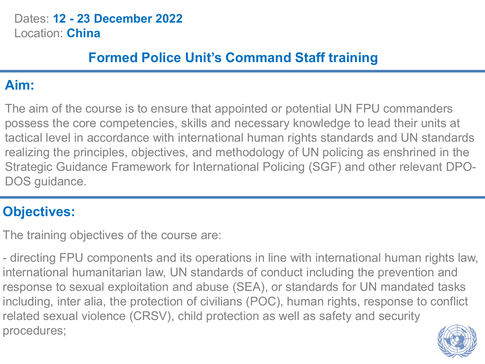Dates: **12 - 23 December 2022** Location: **China**

## **Formed Police Unit's Command Staff training**

## **Aim:**

The aim of the course is to ensure that appointed or potential UN FPU commanders possess the core competencies, skills and necessary knowledge to lead their units at tactical level in accordance with international human rights standards and UN standards realizing the principles, objectives, and methodology of UN policing as enshrined in the Strategic Guidance Framework for International Policing (SGF) and other relevant DPO-DOS guidance.

# **Objectives:**

The training objectives of the course are:

- directing FPU components and its operations in line with international human rights law, international humanitarian law, UN standards of conduct including the prevention and response to sexual exploitation and abuse (SEA), or standards for UN mandated tasks including, inter alia, the protection of civilians (POC), human rights, response to conflict related sexual violence (CRSV), child protection as well as safety and security procedures;